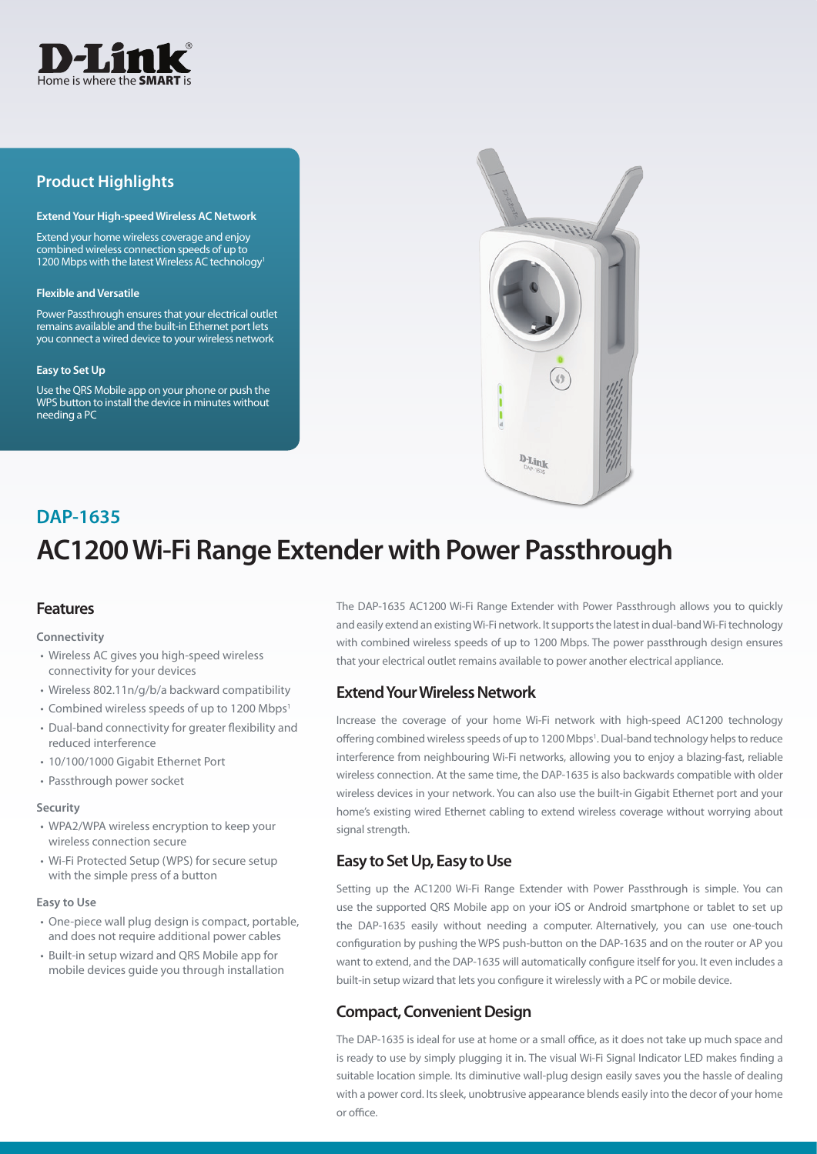

# **Product Highlights**

#### **Extend Your High-speed Wireless AC Network**

Extend your home wireless coverage and enjoy combined wireless connection speeds of up to 1200 Mbps with the latest Wireless AC technology<sup>1</sup>

#### **Flexible and Versatile**

Power Passthrough ensures that your electrical outlet remains available and the built-in Ethernet port lets you connect a wired device to your wireless network

#### **Easy to Set Up**

Use the QRS Mobile app on your phone or push the WPS button to install the device in minutes without needing a PC



# **AC1200 Wi-Fi Range Extender with Power Passthrough DAP-1635**

# **Features**

#### **Connectivity**

- Wireless AC gives you high-speed wireless connectivity for your devices
- Wireless 802.11n/g/b/a backward compatibility
- Combined wireless speeds of up to 1200 Mbps<sup>1</sup>
- Dual-band connectivity for greater flexibility and reduced interference
- 10/100/1000 Gigabit Ethernet Port
- Passthrough power socket

#### **Security**

- WPA2/WPA wireless encryption to keep your wireless connection secure
- Wi-Fi Protected Setup (WPS) for secure setup with the simple press of a button

#### **Easy to Use**

- One-piece wall plug design is compact, portable, and does not require additional power cables
- Built-in setup wizard and QRS Mobile app for mobile devices guide you through installation

The DAP-1635 AC1200 Wi-Fi Range Extender with Power Passthrough allows you to quickly and easily extend an existing Wi-Fi network. It supports the latest in dual-band Wi-Fi technology with combined wireless speeds of up to 1200 Mbps. The power passthrough design ensures that your electrical outlet remains available to power another electrical appliance.

### **Extend Your Wireless Network**

Increase the coverage of your home Wi-Fi network with high-speed AC1200 technology offering combined wireless speeds of up to 1200 Mbps<sup>1</sup>. Dual-band technology helps to reduce interference from neighbouring Wi-Fi networks, allowing you to enjoy a blazing-fast, reliable wireless connection. At the same time, the DAP-1635 is also backwards compatible with older wireless devices in your network. You can also use the built-in Gigabit Ethernet port and your home's existing wired Ethernet cabling to extend wireless coverage without worrying about signal strength.

# **Easy to Set Up, Easy to Use**

Setting up the AC1200 Wi-Fi Range Extender with Power Passthrough is simple. You can use the supported QRS Mobile app on your iOS or Android smartphone or tablet to set up the DAP-1635 easily without needing a computer. Alternatively, you can use one-touch configuration by pushing the WPS push-button on the DAP-1635 and on the router or AP you want to extend, and the DAP-1635 will automatically configure itself for you. It even includes a built-in setup wizard that lets you configure it wirelessly with a PC or mobile device.

# **Compact, Convenient Design**

The DAP-1635 is ideal for use at home or a small office, as it does not take up much space and is ready to use by simply plugging it in. The visual Wi-Fi Signal Indicator LED makes finding a suitable location simple. Its diminutive wall-plug design easily saves you the hassle of dealing with a power cord. Its sleek, unobtrusive appearance blends easily into the decor of your home or office.